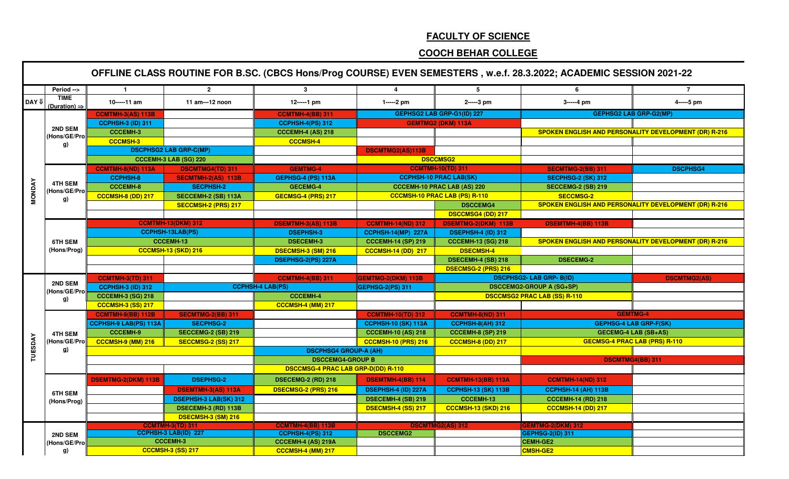## **FACULTY OF SCIENCE**

## **COOCH BEHAR COLLEGE**

|                                                                                                                |                                         |                              |                               |                                           |                            |                                    | OFFLINE CLASS ROUTINE FOR B.SC. (CBCS Hons/Prog COURSE) EVEN SEMESTERS, w.e.f. 28.3.2022; ACADEMIC SESSION 2021-22 |                                                              |
|----------------------------------------------------------------------------------------------------------------|-----------------------------------------|------------------------------|-------------------------------|-------------------------------------------|----------------------------|------------------------------------|--------------------------------------------------------------------------------------------------------------------|--------------------------------------------------------------|
|                                                                                                                | Period -->                              | $\blacksquare$               | $\overline{2}$                | 3 <sup>1</sup>                            |                            | 5                                  | 6                                                                                                                  | $\overline{7}$                                               |
| DAY U                                                                                                          | <b>TIME</b><br>(Duration) $\Rightarrow$ | 10-----11 am                 | 11 am---12 noon               | 12-----1 pm                               | 1-----2 pm                 | 2-----3 pm                         | 3-----4 pm                                                                                                         | 4-----5 pm                                                   |
|                                                                                                                |                                         | <b>CCMTMH-3(AS) 113B</b>     |                               | <b>CCMTMH-4(BB) 311</b>                   |                            | GEPHSG2 LAB GRP-G1(ID) 227         |                                                                                                                    | <b>GEPHSG2 LAB GRP-G2(MP)</b>                                |
|                                                                                                                |                                         | <b>CCPHSH-3 (ID) 311</b>     |                               | <b>CCPHSH-4(PS) 312</b>                   |                            | <b>GEMTMG2 (DKM) 113A</b>          |                                                                                                                    |                                                              |
|                                                                                                                | 2ND SEM<br>(Hons/GE/Pro                 | <b>CCCEMH-3</b>              |                               | <b>CCCEMH-4 (AS) 218</b>                  |                            |                                    |                                                                                                                    | <b>SPOKEN ENGLISH AND PERSONALITY DEVELOPMENT (DR) R-216</b> |
|                                                                                                                | g)                                      | <b>CCCMSH-3</b>              |                               | <b>CCCMSH-4</b>                           |                            |                                    |                                                                                                                    |                                                              |
|                                                                                                                |                                         |                              | <b>DSCPHSG2 LAB GRP-C(MP)</b> |                                           | DSCMTMG2(AS)113B           |                                    |                                                                                                                    |                                                              |
|                                                                                                                |                                         |                              | <b>CCCEMH-3 LAB (SG) 220</b>  |                                           |                            | <b>DSCCMSG2</b>                    |                                                                                                                    |                                                              |
|                                                                                                                |                                         | <b>CCMTMH-8(ND) 113A</b>     | <b>DSCMTMG4(TD) 311</b>       | <b>GEMTMG-4</b>                           |                            | <b>CCMTMH-10(TD) 311</b>           | <b>SECMTMG-2(BB) 311</b>                                                                                           | <b>DSCPHSG4</b>                                              |
|                                                                                                                |                                         | <b>CCPHSH-8</b>              | <b>SECMTMH-2(AS) 113B</b>     | <b>GEPHSG-4 (PS) 113A</b>                 |                            | <b>CCPHSH-10 PRAC LAB(SK)</b>      | <b>SECPHSG-2 (SK) 312</b>                                                                                          |                                                              |
|                                                                                                                |                                         | <b>CCCEMH-8</b>              | <b>SECPHSH-2</b>              | <b>GECEMG-4</b>                           |                            | <b>CCCEMH-10 PRAC LAB (AS) 220</b> | <b>SECCEMG-2 (SB) 219</b>                                                                                          |                                                              |
|                                                                                                                |                                         | <b>CCCMSH-8 (DD) 217</b>     | SECCEMH-2 (SB) 113A           | <b>GECMSG-4 (PRS) 217</b>                 |                            | CCCMSH-10 PRAC LAB (PS) R-110      | <b>SECCMSG-2</b>                                                                                                   |                                                              |
|                                                                                                                |                                         |                              | SECCMSH-2 (PRS) 217           |                                           |                            | <b>DSCCEMG4</b>                    |                                                                                                                    | SPOKEN ENGLISH AND PERSONALITY DEVELOPMENT (DR) R-216        |
|                                                                                                                |                                         |                              |                               |                                           |                            | <b>DSCCMSG4 (DD) 217</b>           |                                                                                                                    |                                                              |
|                                                                                                                |                                         |                              | <b>CCMTMH-13(DKM) 312</b>     | <b>DSEMTMH-3(AS) 113B</b>                 | <b>CCMTMH-14(ND) 312</b>   | <b>DSEMTMG-2(DKM) 113B</b>         | <b>DSEMTMH-4(BB) 113B</b>                                                                                          |                                                              |
|                                                                                                                |                                         |                              | <b>CCPHSH-13LAB(PS)</b>       | <b>DSEPHSH-3</b>                          | <b>CCPHSH-14(MP) 227A</b>  | <b>DSEPHSH-4 (ID) 312</b>          |                                                                                                                    |                                                              |
|                                                                                                                | <b>6TH SEM</b>                          |                              | <b>CCCEMH-13</b>              | <b>DSECEMH-3</b>                          | <b>CCCEMH-14 (SP) 219</b>  | <b>CCCEMH-13 (SG) 218</b>          |                                                                                                                    | SPOKEN ENGLISH AND PERSONALITY DEVELOPMENT (DR) R-216        |
|                                                                                                                | (Hons/Prog)                             |                              | <b>CCCMSH-13 (SKD) 216</b>    | <b>DSECMSH-3 (SM) 216</b>                 | <b>CCCMSH-14 (DD) 217</b>  | <b>DSECMSH-4</b>                   |                                                                                                                    |                                                              |
|                                                                                                                |                                         |                              |                               | DSEPHSG-2(PS) 227A                        |                            | DSECEMH-4 (SB) 218                 | <b>DSECEMG-2</b>                                                                                                   |                                                              |
|                                                                                                                |                                         |                              |                               |                                           |                            | <b>DSECMSG-2 (PRS) 216</b>         |                                                                                                                    |                                                              |
|                                                                                                                |                                         | <b>CCMTMH-3(TD) 311</b>      |                               | <b>CCMTMH-4(BB) 311</b>                   | GEMTMG-2(DKM) 113B         |                                    | <b>DSCPHSG2- LAB GRP- B(ID)</b>                                                                                    | <b>DSCMTMG2(AS)</b>                                          |
|                                                                                                                |                                         | <b>CCPHSH-3 (ID) 312</b>     |                               | <b>CCPHSH-4 LAB(PS)</b>                   | GEPHSG-2(PS) 311           |                                    | <b>DSCCEMG2-GROUP A (SG+SP)</b>                                                                                    |                                                              |
|                                                                                                                |                                         | <b>CCCEMH-3 (SG) 218</b>     |                               | <b>CCCEMH-4</b>                           |                            |                                    | <b>DSCCMSG2 PRAC LAB (SS) R-110</b>                                                                                |                                                              |
|                                                                                                                |                                         | <b>CCCMSH-3 (SS) 217</b>     |                               | <b>CCCMSH-4 (MM) 217</b>                  |                            |                                    |                                                                                                                    |                                                              |
|                                                                                                                |                                         | <b>CCMTMH-9(BB) 112B</b>     | <b>SECMTMG-2(BB) 311</b>      |                                           | <b>CCMTMH-10(TD) 312</b>   | <b>CCMTMH-8(ND) 311</b>            |                                                                                                                    | <b>GEMTMG-4</b>                                              |
|                                                                                                                |                                         | <b>CCPHSH-9 LAB(PS) 113A</b> | <b>SECPHSG-2</b>              |                                           | <b>CCPHSH-10 (SK) 113A</b> | <b>CCPHSH-8(AH) 312</b>            |                                                                                                                    | <b>GEPHSG-4 LAB GRP-F(SK)</b>                                |
|                                                                                                                | <b>4TH SEM</b>                          | <b>CCCEMH-9</b>              | <b>SECCEMG-2 (SB) 219</b>     |                                           | <b>CCCEMH-10 (AS) 218</b>  | <b>CCCEMH-8 (SP) 219</b>           |                                                                                                                    | <b>GECEMG-4 LAB (SB+AS)</b>                                  |
|                                                                                                                | (Hons/GE/Prol                           | CCCMSH-9 (MM) 216            | <b>SECCMSG-2 (SS) 217</b>     |                                           | <b>CCCMSH-10 (PRS) 216</b> | CCCMSH-8 (DD) 217                  |                                                                                                                    | <b>GECMSG-4 PRAC LAB (PRS) R-110</b>                         |
| <b>MONDAY</b><br><b>4TH SEM</b><br>(Hons/GE/Pro<br>g)<br>2ND SEM<br>(Hons/GE/Pro<br>g)<br><b>TUESDAY</b><br>g) |                                         |                              |                               | <b>DSCPHSG4 GROUP-A (AH)</b>              |                            |                                    |                                                                                                                    |                                                              |
|                                                                                                                |                                         |                              |                               | <b>DSCCEMG4-GROUP B</b>                   |                            |                                    |                                                                                                                    | <b>DSCMTMG4(BB) 311</b>                                      |
|                                                                                                                |                                         |                              |                               | <b>DSCCMSG-4 PRAC LAB GRP-D(DD) R-110</b> |                            |                                    |                                                                                                                    |                                                              |
|                                                                                                                |                                         | <b>DSEMTMG-2(DKM) 113B</b>   | <b>DSEPHSG-2</b>              | <b>DSECEMG-2 (RD) 218</b>                 | <b>DSEMTMH-4(BB) 114</b>   | <b>CCMTMH-13(BB) 113A</b>          | <b>CCMTMH-14(ND) 312</b>                                                                                           |                                                              |
|                                                                                                                | <b>6TH SEM</b>                          |                              | <b>DSEMTMH-3(AS) 113A</b>     | <b>DSECMSG-2 (PRS) 216</b>                | DSEPHSH-4 (ID) 227A        | <b>CCPHSH-13 (SK) 113B</b>         | <b>CCPHSH-14 (AH) 113B</b>                                                                                         |                                                              |
|                                                                                                                | (Hons/Prog)                             |                              | <b>DSEPHSH-3 LAB(SK) 312</b>  |                                           | DSECEMH-4 (SB) 219         | <b>CCCEMH-13</b>                   | <b>CCCEMH-14 (RD) 218</b>                                                                                          |                                                              |
|                                                                                                                |                                         |                              | DSECEMH-3 (RD) 113B           |                                           | <b>DSECMSH-4 (SS) 217</b>  | <b>CCCMSH-13 (SKD) 216</b>         | <b>CCCMSH-14 (DD) 217</b>                                                                                          |                                                              |
|                                                                                                                |                                         |                              | <b>DSECMSH-3 (SM) 216</b>     |                                           |                            |                                    |                                                                                                                    |                                                              |
|                                                                                                                |                                         |                              | <b>CCMTMH-3(TD) 311</b>       | <b>CCMTMH-4(BB) 113B</b>                  |                            | <b>DSCMTMG2(AS) 312</b>            | GEMTMG-2(DKM) 312                                                                                                  |                                                              |
|                                                                                                                | 2ND SEM                                 |                              | CCPHSH-3 LAB(ID) 227          | <b>CCPHSH-4(PS) 312</b>                   | <b>DSCCEMG2</b>            |                                    | GEPHSG-2(ID) 311                                                                                                   |                                                              |
|                                                                                                                | (Hons/GE/Pro                            |                              | <b>CCCEMH-3</b>               | CCCEMH-4 (AS) 219A                        |                            |                                    | <b>CEMH-GE2</b>                                                                                                    |                                                              |
|                                                                                                                | g)                                      |                              | <b>CCCMSH-3 (SS) 217</b>      | <b>CCCMSH-4 (MM) 217</b>                  |                            |                                    | <b>CMSH-GE2</b>                                                                                                    |                                                              |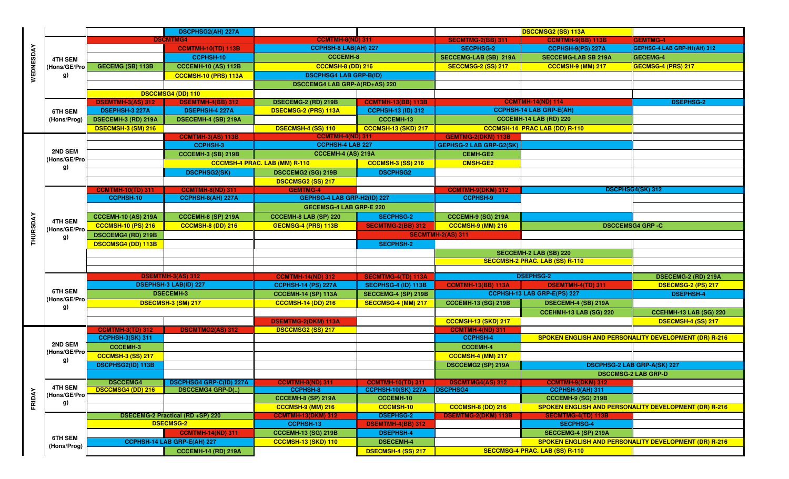|  |                                                                                                                                                                                                                                      |                            | <b>DSCPHSG2(AH) 227A</b>         |                                      |                            |                                | <b>DSCCMSG2 (SS) 113A</b>             |                                                              |
|--|--------------------------------------------------------------------------------------------------------------------------------------------------------------------------------------------------------------------------------------|----------------------------|----------------------------------|--------------------------------------|----------------------------|--------------------------------|---------------------------------------|--------------------------------------------------------------|
|  |                                                                                                                                                                                                                                      |                            | <b>DSCMTMG4</b>                  | <b>CCMTMH-8(ND) 311</b>              |                            | <b>SECMTMG-2(BB) 311</b>       | <b>CCMTMH-9(BB) 113B</b>              | <b>GEMTMG-4</b>                                              |
|  |                                                                                                                                                                                                                                      |                            | <b>CCMTMH-10(TD) 113B</b>        | <b>CCPHSH-8 LAB(AH) 227</b>          |                            | <b>SECPHSG-2</b>               | CCPHSH-9(PS) 227A                     | GEPHSG-4 LAB GRP-H1(AH) 312                                  |
|  |                                                                                                                                                                                                                                      |                            | CCPHSH-10                        | <b>CCCEMH-8</b>                      |                            | SECCEMG-LAB (SB) 219A          | <b>SECCEMG-LAB SB 219A</b>            | GECEMG-4                                                     |
|  | (Hons/GE/Pro                                                                                                                                                                                                                         | <b>GECEMG (SB) 113B</b>    | <b>CCCEMH-10 (AS) 112B</b>       | <b>CCCMSH-8 (DD) 216</b>             |                            | <b>SECCMSG-2 (SS) 217</b>      | CCCMSH-9 (MM) 217                     | GECMSG-4 (PRS) 217                                           |
|  | g)                                                                                                                                                                                                                                   |                            | CCCMSH-10 (PRS) 113A             | <b>DSCPHSG4 LAB GRP-B(ID)</b>        |                            |                                |                                       |                                                              |
|  |                                                                                                                                                                                                                                      |                            |                                  | <b>DSCCEMG4 LAB GRP-A(RD+AS) 220</b> |                            |                                |                                       |                                                              |
|  |                                                                                                                                                                                                                                      |                            | <b>DSCCMSG4 (DD) 110</b>         |                                      |                            |                                |                                       |                                                              |
|  |                                                                                                                                                                                                                                      | <b>DSEMTMH-3(AS) 312</b>   | <b>DSEMTMH-4(BB) 312</b>         | <b>DSECEMG-2 (RD) 219B</b>           | <b>CCMTMH-13(BB) 113B</b>  |                                | <b>CCMTMH-14(ND) 114</b>              | <b>DSEPHSG-2</b>                                             |
|  | <b>6TH SEM</b>                                                                                                                                                                                                                       | <b>DSEPHSH-3 227A</b>      | <b>DSEPHSH-4 227A</b>            | <b>DSECMSG-2 (PRS) 113A</b>          | <b>CCPHSH-13 (ID) 312</b>  |                                | <b>CCPHSH-14 LAB GRP-E(AH)</b>        |                                                              |
|  | (Hons/Prog)                                                                                                                                                                                                                          | DSECEMH-3 (RD) 219A        | DSECEMH-4 (SB) 219A              |                                      | <b>CCCEMH-13</b>           |                                | CCCEMH-14 LAB (RD) 220                |                                                              |
|  |                                                                                                                                                                                                                                      | DSECMSH-3 (SM) 216         |                                  | <b>DSECMSH-4 (SS) 110</b>            | <b>CCCMSH-13 (SKD) 217</b> |                                | CCCMSH-14 PRAC LAB (DD) R-110         |                                                              |
|  |                                                                                                                                                                                                                                      |                            | <b>CCMTMH-3(AS) 113B</b>         | <b>CCMTMH-4(ND) 311</b>              |                            | <b>GEMTMG-2(DKM) 113B</b>      |                                       |                                                              |
|  |                                                                                                                                                                                                                                      |                            | <b>CCPHSH-3</b>                  | <b>CCPHSH-4 LAB 227</b>              |                            | <b>GEPHSG-2 LAB GRP-G2(SK)</b> |                                       |                                                              |
|  |                                                                                                                                                                                                                                      |                            | <b>CCCEMH-3 (SB) 219B</b>        | <b>CCCEMH-4 (AS) 219A</b>            |                            | <b>CEMH-GE2</b>                |                                       |                                                              |
|  |                                                                                                                                                                                                                                      |                            |                                  | <b>CCCMSH-4 PRAC. LAB (MM) R-110</b> | <b>CCCMSH-3 (SS) 216</b>   | <b>CMSH-GE2</b>                |                                       |                                                              |
|  |                                                                                                                                                                                                                                      |                            | <b>DSCPHSG2(SK)</b>              | DSCCEMG2 (SG) 219B                   | <b>DSCPHSG2</b>            |                                |                                       |                                                              |
|  |                                                                                                                                                                                                                                      |                            |                                  | <b>DSCCMSG2 (SS) 217</b>             |                            |                                |                                       |                                                              |
|  |                                                                                                                                                                                                                                      | <b>CCMTMH-10(TD) 311</b>   | <b>CCMTMH-8(ND) 311</b>          | <b>GEMTMG-4</b>                      |                            | <b>CCMTMH-9(DKM) 312</b>       |                                       | <b>DSCPHSG4(SK) 312</b>                                      |
|  |                                                                                                                                                                                                                                      | CCPHSH-10                  | CCPHSH-8(AH) 227A                | GEPHSG-4 LAB GRP-H2(ID) 227          |                            | <b>CCPHSH-9</b>                |                                       |                                                              |
|  | WEDNESDAY<br>4TH SEM<br>2ND SEM<br>(Hons/GE/Pro<br>g)<br>THURSDAY<br><b>4TH SEM</b><br>(Hons/GE/Pro<br>g)<br><b>6TH SEM</b><br>(Hons/GE/Pro<br>g)<br>2ND SEM<br>(Hons/GE/Pro<br>g)<br><b>4TH SEM</b><br>FRIDAY<br>(Hons/GE/Pro<br>g) |                            |                                  | <b>GECEMSG-4 LAB GRP-E 220</b>       |                            |                                |                                       |                                                              |
|  |                                                                                                                                                                                                                                      | <b>CCCEMH-10 (AS) 219A</b> | <b>CCCEMH-8 (SP) 219A</b>        | <b>CCCEMH-8 LAB (SP) 220</b>         | <b>SECPHSG-2</b>           | <b>CCCEMH-9 (SG) 219A</b>      |                                       |                                                              |
|  |                                                                                                                                                                                                                                      | <b>CCCMSH-10 (PS) 216</b>  | CCCMSH-8 (DD) 216                | GECMSG-4 (PRS) 113B                  | <b>SECMTMG-2(BB) 312</b>   | CCCMSH-9 (MM) 216              |                                       | <b>DSCCEMSG4 GRP -C</b>                                      |
|  |                                                                                                                                                                                                                                      | <b>DSCCEMG4 (RD) 219B</b>  |                                  |                                      |                            | <b>SECMTMH-2(AS) 311</b>       |                                       |                                                              |
|  |                                                                                                                                                                                                                                      | <b>DSCCMSG4 (DD) 113B</b>  |                                  |                                      | <b>SECPHSH-2</b>           |                                |                                       |                                                              |
|  |                                                                                                                                                                                                                                      |                            |                                  |                                      |                            |                                | <b>SECCEMH-2 LAB (SB) 220</b>         |                                                              |
|  |                                                                                                                                                                                                                                      |                            |                                  |                                      |                            |                                | <b>SECCMSH-2 PRAC. LAB (SS) R-110</b> |                                                              |
|  |                                                                                                                                                                                                                                      |                            | <b>DSEMTMH-3(AS) 312</b>         | <b>CCMTMH-14(ND) 312</b>             | <b>SECMTMG-4(TD) 113A</b>  |                                | <b>DSEPHSG-2</b>                      | DSECEMG-2 (RD) 219A                                          |
|  |                                                                                                                                                                                                                                      |                            | <b>DSEPHSH-3 LAB(ID) 227</b>     | <b>CCPHSH-14 (PS) 227A</b>           | SECPHSG-4 (ID) 113B        | <b>CCMTMH-13(BB) 113A</b>      | <b>DSEMTMH-4(TD) 311</b>              | <b>DSECMSG-2 (PS) 217</b>                                    |
|  |                                                                                                                                                                                                                                      |                            | <b>DSECEMH-3</b>                 | <b>CCCEMH-14 (SP) 113A</b>           | SECCEMG-4 (SP) 219B        |                                | CCPHSH-13 LAB GRP-E(PS) 227           | <b>DSEPHSH-4</b>                                             |
|  |                                                                                                                                                                                                                                      |                            | DSECMSH-3 (SM) 217               | <b>CCCMSH-14 (DD) 216</b>            | SECCMSG-4 (MM) 217         | <b>CCCEMH-13 (SG) 219B</b>     | DSECEMH-4 (SB) 219A                   |                                                              |
|  |                                                                                                                                                                                                                                      |                            |                                  |                                      |                            |                                | CCEHMH-13 LAB (SG) 220                | CCEHMH-13 LAB (SG) 220                                       |
|  |                                                                                                                                                                                                                                      |                            |                                  | <b>DSEMTMG-2(DKM) 113A</b>           |                            | <b>CCCMSH-13 (SKD) 217</b>     |                                       | DSECMSH-4 (SS) 217                                           |
|  |                                                                                                                                                                                                                                      | <b>CCMTMH-3(TD) 312</b>    | <b>DSCMTMG2(AS) 312</b>          | <b>DSCCMSG2 (SS) 217</b>             |                            | <b>CCMTMH-4(ND) 311</b>        |                                       |                                                              |
|  |                                                                                                                                                                                                                                      | <b>CCPHSH-3(SK) 311</b>    |                                  |                                      |                            | <b>CCPHSH-4</b>                |                                       | <b>SPOKEN ENGLISH AND PERSONALITY DEVELOPMENT (DR) R-216</b> |
|  |                                                                                                                                                                                                                                      | <b>CCCEMH-3</b>            |                                  |                                      |                            | <b>CCCEMH-4</b>                |                                       |                                                              |
|  |                                                                                                                                                                                                                                      | <b>CCCMSH-3 (SS) 217</b>   |                                  |                                      |                            | <b>CCCMSH-4 (MM) 217</b>       |                                       |                                                              |
|  |                                                                                                                                                                                                                                      | DSCPHSG2(ID) 113B          |                                  |                                      |                            | <b>DSCCEMG2 (SP) 219A</b>      |                                       | DSCPHSG-2 LAB GRP-A(SK) 227                                  |
|  |                                                                                                                                                                                                                                      |                            |                                  |                                      |                            |                                |                                       | <b>DSCCMSG-2 LAB GRP-D</b>                                   |
|  |                                                                                                                                                                                                                                      | <b>DSCCEMG4</b>            | <b>DSCPHSG4 GRP-C(ID) 227A</b>   | <b>CCMTMH-8(ND) 311</b>              | <b>CCMTMH-10(TD) 311</b>   | <b>DSCMTMG4(AS) 312</b>        | <b>CCMTMH-9(DKM) 312</b>              |                                                              |
|  |                                                                                                                                                                                                                                      | <b>DSCCMSG4 (DD) 216</b>   | <b>DSCCEMG4 GRP-D()</b>          | <b>CCPHSH-8</b>                      | <b>CCPHSH-10(SK) 227A</b>  | <b>DSCPHSG4</b>                | CCPHSH-9(AH) 311                      |                                                              |
|  |                                                                                                                                                                                                                                      |                            |                                  | <b>CCCEMH-8 (SP) 219A</b>            | <b>CCCEMH-10</b>           |                                | <b>CCCEMH-9 (SG) 219B</b>             |                                                              |
|  |                                                                                                                                                                                                                                      |                            |                                  | <b>CCCMSH-9 (MM) 216</b>             | <b>CCCMSH-10</b>           | <b>CCCMSH-8 (DD) 216</b>       |                                       | SPOKEN ENGLISH AND PERSONALITY DEVELOPMENT (DR) R-216        |
|  |                                                                                                                                                                                                                                      |                            | DSECEMG-2 Practical (RD +SP) 220 | <b>CCMTMH-13(DKM) 312</b>            | <b>DSEPHSG-2</b>           | <b>DSEMTMG-2(DKM) 113B</b>     | <b>SECMTMG-4(TD) 113B</b>             |                                                              |
|  |                                                                                                                                                                                                                                      |                            | <b>DSECMSG-2</b>                 | CCPHSH-13                            | <b>DSEMTMH-4(BB) 312</b>   |                                | <b>SECPHSG-4</b>                      |                                                              |
|  | <b>6TH SEM</b>                                                                                                                                                                                                                       |                            | <b>CCMTMH-14(ND) 311</b>         | <b>CCCEMH-13 (SG) 219B</b>           | <b>DSEPHSH-4</b>           |                                | SECCEMG-4 (SP) 219A                   |                                                              |
|  | (Hons/Prog)                                                                                                                                                                                                                          |                            | CCPHSH-14 LAB GRP-E(AH) 227      | <b>CCCMSH-13 (SKD) 110</b>           | <b>DSECEMH-4</b>           |                                |                                       | SPOKEN ENGLISH AND PERSONALITY DEVELOPMENT (DR) R-216        |
|  |                                                                                                                                                                                                                                      |                            | <b>CCCEMH-14 (RD) 219A</b>       |                                      | DSECMSH-4 (SS) 217         |                                | SECCMSG-4 PRAC. LAB (SS) R-110        |                                                              |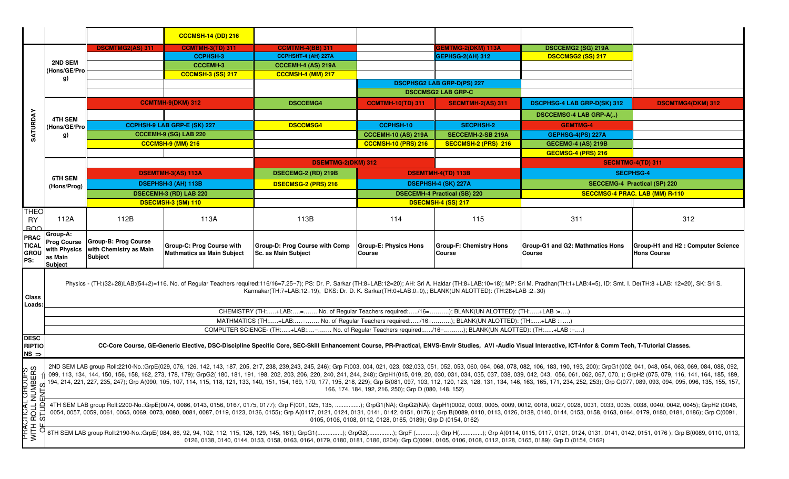|                                                   |                                                                      |                                                                  | <b>CCCMSH-14 (DD) 216</b>                                      |                                                                                                                                                                                                      |                                                               |                                                 |                                                                                                                                                                                                                                                                                                                                                                                                                                                                                                                                                                                                                                                                                                    |                                                         |  |
|---------------------------------------------------|----------------------------------------------------------------------|------------------------------------------------------------------|----------------------------------------------------------------|------------------------------------------------------------------------------------------------------------------------------------------------------------------------------------------------------|---------------------------------------------------------------|-------------------------------------------------|----------------------------------------------------------------------------------------------------------------------------------------------------------------------------------------------------------------------------------------------------------------------------------------------------------------------------------------------------------------------------------------------------------------------------------------------------------------------------------------------------------------------------------------------------------------------------------------------------------------------------------------------------------------------------------------------------|---------------------------------------------------------|--|
|                                                   |                                                                      | <b>DSCMTMG2(AS) 311</b>                                          | <b>CCMTMH-3(TD) 311</b>                                        | <b>CCMTMH-4(BB) 311</b>                                                                                                                                                                              |                                                               | <b>EMTMG-2(DKM) 113A</b>                        | DSCCEMG2 (SG) 219A                                                                                                                                                                                                                                                                                                                                                                                                                                                                                                                                                                                                                                                                                 |                                                         |  |
|                                                   |                                                                      |                                                                  | <b>CCPHSH-3</b>                                                | CCPHSHT-4 (AH) 227A                                                                                                                                                                                  |                                                               | <b>GEPHSG-2(AH) 312</b>                         | <b>DSCCMSG2 (SS) 217</b>                                                                                                                                                                                                                                                                                                                                                                                                                                                                                                                                                                                                                                                                           |                                                         |  |
|                                                   | 2ND SEM                                                              |                                                                  | <b>CCCEMH-3</b>                                                | <b>CCCEMH-4 (AS) 219A</b>                                                                                                                                                                            |                                                               |                                                 |                                                                                                                                                                                                                                                                                                                                                                                                                                                                                                                                                                                                                                                                                                    |                                                         |  |
|                                                   | Hons/GE/Pro<br>g)                                                    |                                                                  | <b>CCCMSH-3 (SS) 217</b>                                       | <b>CCCMSH-4 (MM) 217</b>                                                                                                                                                                             |                                                               |                                                 |                                                                                                                                                                                                                                                                                                                                                                                                                                                                                                                                                                                                                                                                                                    |                                                         |  |
|                                                   |                                                                      |                                                                  |                                                                |                                                                                                                                                                                                      |                                                               | <b>DSCPHSG2 LAB GRP-D(PS) 227</b>               |                                                                                                                                                                                                                                                                                                                                                                                                                                                                                                                                                                                                                                                                                                    |                                                         |  |
|                                                   |                                                                      |                                                                  |                                                                |                                                                                                                                                                                                      |                                                               | <b>DSCCMSG2 LAB GRP-C</b>                       |                                                                                                                                                                                                                                                                                                                                                                                                                                                                                                                                                                                                                                                                                                    |                                                         |  |
|                                                   |                                                                      |                                                                  | <b>CCMTMH-9(DKM) 312</b>                                       | <b>DSCCEMG4</b>                                                                                                                                                                                      | <b>CCMTMH-10(TD) 311</b>                                      | <b>SECMTMH-2(AS) 311</b>                        | <b>DSCPHSG-4 LAB GRP-D(SK) 312</b>                                                                                                                                                                                                                                                                                                                                                                                                                                                                                                                                                                                                                                                                 | <b>DSCMTMG4(DKM) 312</b>                                |  |
|                                                   | 4TH SEM                                                              |                                                                  |                                                                |                                                                                                                                                                                                      |                                                               |                                                 | <b>DSCCEMSG-4 LAB GRP-A()</b>                                                                                                                                                                                                                                                                                                                                                                                                                                                                                                                                                                                                                                                                      |                                                         |  |
| SATURDAY                                          | (Hons/GE/Pro                                                         |                                                                  | CCPHSH-9 LAB GRP-E (SK) 227                                    | <b>DSCCMSG4</b>                                                                                                                                                                                      | <b>CCPHSH-10</b>                                              | <b>SECPHSH-2</b>                                | <b>GEMTMG-4</b>                                                                                                                                                                                                                                                                                                                                                                                                                                                                                                                                                                                                                                                                                    |                                                         |  |
|                                                   | g)                                                                   |                                                                  | <b>CCCEMH-9 (SG) LAB 220</b>                                   |                                                                                                                                                                                                      | <b>CCCEMH-10 (AS) 219A</b>                                    | SECCEMH-2-SB 219A                               | GEPHSG-4(PS) 227A                                                                                                                                                                                                                                                                                                                                                                                                                                                                                                                                                                                                                                                                                  |                                                         |  |
|                                                   |                                                                      |                                                                  | <b>CCCMSH-9 (MM) 216</b>                                       |                                                                                                                                                                                                      | <b>CCCMSH-10 (PRS) 216</b>                                    | SECCMSH-2 (PRS) 216                             | <b>GECEMG-4 (AS) 219B</b>                                                                                                                                                                                                                                                                                                                                                                                                                                                                                                                                                                                                                                                                          |                                                         |  |
|                                                   |                                                                      |                                                                  |                                                                |                                                                                                                                                                                                      |                                                               |                                                 | GECMSG-4 (PRS) 216                                                                                                                                                                                                                                                                                                                                                                                                                                                                                                                                                                                                                                                                                 |                                                         |  |
|                                                   |                                                                      |                                                                  |                                                                | <b>DSEMTMG-2(DKM) 312</b>                                                                                                                                                                            |                                                               |                                                 |                                                                                                                                                                                                                                                                                                                                                                                                                                                                                                                                                                                                                                                                                                    | <b>SECMTMG-4(TD) 311</b>                                |  |
|                                                   |                                                                      |                                                                  | <b>DSEMTMH-3(AS) 113A</b>                                      | <b>DSECEMG-2 (RD) 219B</b>                                                                                                                                                                           |                                                               | <b>DSEMTMH-4(TD) 113B</b>                       |                                                                                                                                                                                                                                                                                                                                                                                                                                                                                                                                                                                                                                                                                                    | <b>SECPHSG-4</b>                                        |  |
|                                                   | 6TH SEM                                                              |                                                                  | DSEPHSH-3 (AH) 113B                                            | DSECMSG-2 (PRS) 216                                                                                                                                                                                  |                                                               | DSEPHSH-4 (SK) 227A                             |                                                                                                                                                                                                                                                                                                                                                                                                                                                                                                                                                                                                                                                                                                    | <b>SECCEMG-4 Practical (SP) 220</b>                     |  |
|                                                   | (Hons/Prog)                                                          |                                                                  | <b>DSECEMH-3 (RD) LAB 220</b>                                  |                                                                                                                                                                                                      |                                                               |                                                 |                                                                                                                                                                                                                                                                                                                                                                                                                                                                                                                                                                                                                                                                                                    |                                                         |  |
|                                                   |                                                                      |                                                                  |                                                                |                                                                                                                                                                                                      |                                                               | <b>DSECEMH-4 Practical (SB) 220</b>             |                                                                                                                                                                                                                                                                                                                                                                                                                                                                                                                                                                                                                                                                                                    | SECCMSG-4 PRAC. LAB (MM) R-110                          |  |
|                                                   |                                                                      |                                                                  | DSECMSH-3 (SM) 110                                             |                                                                                                                                                                                                      |                                                               | DSECMSH-4 (SS) 217                              |                                                                                                                                                                                                                                                                                                                                                                                                                                                                                                                                                                                                                                                                                                    |                                                         |  |
| <b>THEO</b><br><b>RY</b><br><b>BOO</b>            | 112A                                                                 | 112B                                                             | 113A                                                           | 113B                                                                                                                                                                                                 | 114                                                           | 115                                             | 311                                                                                                                                                                                                                                                                                                                                                                                                                                                                                                                                                                                                                                                                                                | 312                                                     |  |
| <b>PRAC</b><br><b>TICAL</b><br><b>GROU</b><br>PS: | Group-A:<br><b>Prog Course</b><br>with Physics<br>as Main<br>Subject | Group-B: Prog Course<br>with Chemistry as Main<br><b>Subject</b> | Group-C: Prog Course with<br><b>Mathmatics as Main Subject</b> | Group-D: Prog Course with Comp<br>Sc. as Main Subject                                                                                                                                                | <b>Group-E: Physics Hons</b><br>Course                        | <b>Group-F: Chemistry Hons</b><br><b>Course</b> | <b>Group-G1 and G2: Mathmatics Hons</b><br><b>Course</b>                                                                                                                                                                                                                                                                                                                                                                                                                                                                                                                                                                                                                                           | Group-H1 and H2: Computer Science<br><b>Hons Course</b> |  |
| Class<br>Loads:                                   |                                                                      |                                                                  |                                                                | Karmakar(TH:7+LAB:12=19), DKS: Dr. D. K. Sarkar(TH:0+LAB:0=0),; BLANK(UN ALOTTED): (TH:28+LAB :2=30)<br>CHEMISTRY (TH:+LAB:= No. of Regular Teachers required:/16=); BLANK(UN ALOTTED): (TH:+LAB :=) |                                                               |                                                 | Physics - (TH:(32+28)LAB:(54+2)=116. No. of Regular Teachers required:116/16=7.25~7); PS: Dr. P. Sarkar (TH:8+LAB:12=20); AH: Sri A. Haldar (TH:8+LAB:10=18); MP: Sri M. Pradhan(TH:1+LAB:4=5), ID: Smt. I. De(TH:8+LAB:12=20)                                                                                                                                                                                                                                                                                                                                                                                                                                                                     |                                                         |  |
|                                                   |                                                                      |                                                                  |                                                                | MATHMATICS (TH:+LAB:= No. of Regular Teachers required:/16=); BLANK(UN ALOTTED): (TH:+LAB :=)                                                                                                        |                                                               |                                                 |                                                                                                                                                                                                                                                                                                                                                                                                                                                                                                                                                                                                                                                                                                    |                                                         |  |
|                                                   |                                                                      |                                                                  |                                                                | COMPUTER SCIENCE- (TH:+LAB:= No. of Regular Teachers required:/16=); BLANK(UN ALOTTED): (TH:+LAB :=)                                                                                                 |                                                               |                                                 |                                                                                                                                                                                                                                                                                                                                                                                                                                                                                                                                                                                                                                                                                                    |                                                         |  |
| <b>DESC</b><br><b>RIPTIO</b><br>$NS \Rightarrow$  |                                                                      |                                                                  |                                                                |                                                                                                                                                                                                      |                                                               |                                                 | CC-Core Course, GE-Generic Elective, DSC-Discipline Specific Core, SEC-Skill Enhancement Course, PR-Practical, ENVS-Envir Studies, AVI-Audio Visual Interactive, ICT-Infor & Comm Tech, T-Tutorial Classes.                                                                                                                                                                                                                                                                                                                                                                                                                                                                                        |                                                         |  |
|                                                   |                                                                      |                                                                  |                                                                |                                                                                                                                                                                                      | 166, 174, 184, 192, 216, 250); Grp D (080, 148, 152)          |                                                 | 2ND SEM LAB group Roll:2210-No.:GrpE(029, 076, 126, 142, 143, 187, 205, 217, 238, 239,243, 245, 246); Grp F(003, 004, 021, 023, 032,033, 051, 052, 053, 060, 064, 088, 078, 082, 106, 183, 190, 193, 200); GrpG1(002, 041, 048<br>099, 113, 134, 144, 150, 156, 158, 162, 273, 178, 179); GrpG2( 180, 181, 191, 198, 202, 203, 206, 220, 241, 248, 249; GrpH1(015, 019, 20, 030, 031, 034, 035, 037, 038, 039, 042, 043, 056, 061, 062, 067, 070, ); GrpH2 (075,<br>194, 214, 221, 227, 235, 247); Grp A(090, 105, 107, 114, 115, 118, 118, 121, 133, 140, 151, 154, 169, 170, 177, 195, 218, 229); Grp B(081, 097, 103, 112, 120, 123, 128, 128, 131, 134, 146, 163, 165, 171, 234, 252, 253); Gr |                                                         |  |
|                                                   |                                                                      |                                                                  |                                                                |                                                                                                                                                                                                      | 0105, 0106, 0108, 0112, 0128, 0165, 0189); Grp D (0154, 0162) |                                                 | 0054, 0057, 0059, 0061, 0065, 0069, 0073, 0080, 0081, 0087, 0119, 0123, 0136, 0155); Grp A(0117, 0121, 0124, 0131, 0141, 0142, 0151, 0176); Grp B(0089, 0110, 0110, 0113, 0126, 0138, 0144, 0153, 0158, 0168, 0164, 0179, 0180                                                                                                                                                                                                                                                                                                                                                                                                                                                                     |                                                         |  |
| HILL<br>VIII<br>A<br>$\Omega$                     |                                                                      |                                                                  |                                                                | 0126, 0138, 0140, 0144, 0153, 0158, 0163, 0164, 0179, 0180, 0181, 0186, 0204); Grp C(0091, 0105, 0106, 0108, 0112, 0128, 0165, 0189); Grp D (0154, 0162)                                             |                                                               |                                                 | 6TH SEM LAB group Roll:2190-No.:GrpE(084, 86, 92, 94, 102, 112, 115, 126, 129, 145, 161); GrpG1(); GrpF(); Grp H(); Grp A(0114, 0115, 0117, 0121, 0124, 0131, 0140, 0151, 0176);                                                                                                                                                                                                                                                                                                                                                                                                                                                                                                                   |                                                         |  |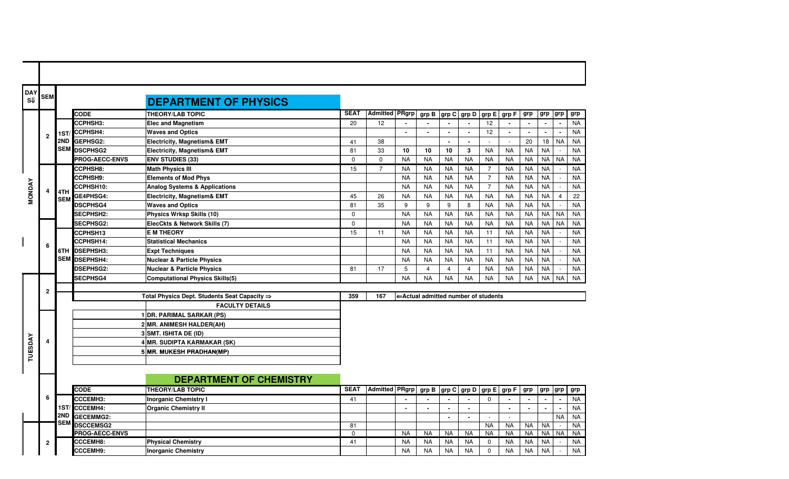| DAY<br>S₩      | <b>SEM</b>     |                   |                                          | <b>DEPARTMENT OF PHYSICS</b>                             |                   |                       |           |                                     |                |                                               |                |           |                |           |                             |           |
|----------------|----------------|-------------------|------------------------------------------|----------------------------------------------------------|-------------------|-----------------------|-----------|-------------------------------------|----------------|-----------------------------------------------|----------------|-----------|----------------|-----------|-----------------------------|-----------|
|                |                |                   | <b>CODE</b>                              | <b>THEORY/LAB TOPIC</b>                                  | <b>SEAT</b>       | <b>Admitted PRgrp</b> |           |                                     |                | grp B grp C grp D grp E grp F grp             |                |           |                | grp grp   |                             | grp       |
|                |                |                   | CCPHSH3:                                 | <b>Elec and Magnetism</b>                                | 20                | 12                    |           |                                     |                |                                               | 12             |           |                |           | $\alpha$                    | <b>NA</b> |
|                | $\overline{2}$ |                   | 1ST/CCPHSH4:                             | <b>Waves and Optics</b>                                  |                   |                       | $\sim$    | $\sim$                              | $\sim$         | $\sim$                                        | 12             | $\bullet$ | $\sim$         | $\sim$    | $\sim$                      | <b>NA</b> |
|                |                |                   | 2ND GEPHSG2:                             | <b>Electricity, Magnetism&amp; EMT</b>                   | 41                | 38                    |           |                                     | $\sim$         | $\blacksquare$                                |                |           | 20             | 18        | <b>NA</b>                   | <b>NA</b> |
|                |                |                   | <b>SEM DSCPHSG2</b>                      | <b>Electricity, Magnetism&amp; EMT</b>                   | 81                | 33                    | 10        | 10                                  | 10             | $\mathbf{3}$                                  | <b>NA</b>      | <b>NA</b> | <b>NA</b>      | <b>NA</b> | $\overline{a}$              | <b>NA</b> |
|                |                |                   | <b>PROG-AECC-ENVS</b>                    | <b>ENV STUDIES (33)</b>                                  | $\mathbf 0$       | $\mathbf 0$           | <b>NA</b> | <b>NA</b>                           | <b>NA</b>      | <b>NA</b>                                     | <b>NA</b>      | <b>NA</b> | <b>NA</b>      | <b>NA</b> | <b>NA</b>                   | <b>NA</b> |
|                |                |                   | CCPHSH8:                                 | <b>Math Physics III</b>                                  | 15                | $\overline{7}$        | <b>NA</b> | <b>NA</b>                           | <b>NA</b>      | <b>NA</b>                                     | 7              | <b>NA</b> | <b>NA</b>      | <b>NA</b> | $\overline{\phantom{a}}$    | <b>NA</b> |
|                |                |                   | <b>CCPHSH9:</b>                          | <b>Elements of Mod Phys</b>                              |                   |                       | <b>NA</b> | NA                                  | <b>NA</b>      | NA                                            | $\overline{7}$ | <b>NA</b> | <b>NA</b>      | <b>NA</b> |                             | <b>NA</b> |
|                |                |                   | CCPHSH10:                                | <b>Analog Systems &amp; Applications</b>                 |                   |                       | <b>NA</b> | <b>NA</b>                           | <b>NA</b>      | <b>NA</b>                                     | $\overline{7}$ | <b>NA</b> | <b>NA</b>      | <b>NA</b> | $\mathcal{L}_{\mathcal{A}}$ | <b>NA</b> |
| <b>MONDAY</b>  |                | 4TH<br><b>SEM</b> | GE4PHSG4:                                | <b>Electricity, Magnetism&amp; EMT</b>                   | 45                | 26                    | <b>NA</b> | <b>NA</b>                           | <b>NA</b>      | <b>NA</b>                                     | <b>NA</b>      | <b>NA</b> | <b>NA</b>      | <b>NA</b> | $\overline{4}$              | 22        |
|                |                |                   | <b>DSCPHSG4</b>                          | <b>Waves and Optics</b>                                  | 81                | 35                    | 9         | 9                                   | 9              | 8                                             | <b>NA</b>      | <b>NA</b> | <b>NA</b>      | <b>NA</b> |                             | <b>NA</b> |
|                |                |                   | SECPHSH2:                                | Physics Wrksp Skills (10)                                | $\mathbf 0$       |                       | <b>NA</b> | <b>NA</b>                           | <b>NA</b>      | <b>NA</b>                                     | <b>NA</b>      | NA        | <b>NA</b>      | <b>NA</b> | <b>NA</b>                   | <b>NA</b> |
|                |                |                   | SECPHSG2:                                | ElecCkts & Network Skills (7)                            | $\Omega$          |                       | <b>NA</b> | <b>NA</b>                           | <b>NA</b>      | <b>NA</b>                                     | <b>NA</b>      | <b>NA</b> | <b>NA</b>      | <b>NA</b> | <b>NA</b>                   | <b>NA</b> |
|                |                |                   | CCPHSH13                                 | <b>E M THEORY</b>                                        | 15                | 11                    | <b>NA</b> | <b>NA</b>                           | <b>NA</b>      | <b>NA</b>                                     | 11             | <b>NA</b> | <b>NA</b>      | <b>NA</b> | $\sim$                      | <b>NA</b> |
|                | 6              |                   | CCPHSH14:                                | <b>Statistical Mechanics</b>                             |                   |                       | <b>NA</b> | <b>NA</b>                           | <b>NA</b>      | <b>NA</b>                                     | 11             | <b>NA</b> | <b>NA</b>      | <b>NA</b> |                             | <b>NA</b> |
|                |                |                   | 6TH DSEPHSH3:                            | <b>Expt Techniques</b>                                   |                   |                       | <b>NA</b> | <b>NA</b>                           | <b>NA</b>      | <b>NA</b>                                     | 11             | <b>NA</b> | <b>NA</b>      | <b>NA</b> | $\mathcal{L}$               | <b>NA</b> |
|                |                |                   | SEM DSEPHSH4:                            | <b>Nuclear &amp; Particle Physics</b>                    |                   |                       | <b>NA</b> | <b>NA</b>                           | <b>NA</b>      | <b>NA</b>                                     | <b>NA</b>      | <b>NA</b> | <b>NA</b>      | <b>NA</b> | $\sim$                      | <b>NA</b> |
|                |                |                   | <b>DSEPHSG2:</b>                         | <b>Nuclear &amp; Particle Physics</b>                    | 81                | 17                    | 5         | $\overline{4}$                      | $\overline{4}$ | $\overline{4}$                                | <b>NA</b>      | <b>NA</b> | <b>NA</b>      | <b>NA</b> | $\sim$                      | <b>NA</b> |
|                |                |                   | <b>SECPHSG4</b>                          | <b>Computational Physics Skills(5)</b>                   |                   |                       | <b>NA</b> | <b>NA</b>                           | <b>NA</b>      | <b>NA</b>                                     | <b>NA</b>      | <b>NA</b> | <b>NA</b>      | <b>NA</b> | <b>NA</b>                   | <b>NA</b> |
|                | $\overline{2}$ |                   |                                          |                                                          |                   |                       |           |                                     |                |                                               |                |           |                |           |                             |           |
|                |                |                   |                                          | Total Physics Dept. Students Seat Capacity $\Rightarrow$ | 359               | 167                   |           | ∈Actual admitted number of students |                |                                               |                |           |                |           |                             |           |
|                |                |                   |                                          | <b>FACULTY DETAILS</b>                                   |                   |                       |           |                                     |                |                                               |                |           |                |           |                             |           |
|                |                |                   |                                          | <b>DR. PARIMAL SARKAR (PS)</b>                           |                   |                       |           |                                     |                |                                               |                |           |                |           |                             |           |
|                |                |                   |                                          | 2 MR. ANIMESH HALDER(AH)                                 |                   |                       |           |                                     |                |                                               |                |           |                |           |                             |           |
|                |                |                   |                                          | 3 SMT. ISHITA DE (ID)                                    |                   |                       |           |                                     |                |                                               |                |           |                |           |                             |           |
|                |                |                   |                                          | 4 MR. SUDIPTA KARMAKAR (SK)                              |                   |                       |           |                                     |                |                                               |                |           |                |           |                             |           |
| <b>TUESDAY</b> |                |                   |                                          | 5 MR. MUKESH PRADHAN(MP)                                 |                   |                       |           |                                     |                |                                               |                |           |                |           |                             |           |
|                |                |                   |                                          |                                                          |                   |                       |           |                                     |                |                                               |                |           |                |           |                             |           |
|                |                |                   |                                          |                                                          |                   |                       |           |                                     |                |                                               |                |           |                |           |                             |           |
|                |                |                   |                                          | <b>DEPARTMENT OF CHEMISTRY</b>                           |                   |                       |           |                                     |                |                                               |                |           |                |           |                             |           |
|                |                |                   | <b>CODE</b>                              | <b>THEORY/LAB TOPIC</b>                                  | <b>SEAT</b>       | Admitted PRgrp        |           |                                     |                | grp B $ $ grp C $ $ grp D $ $ grp E $ $ grp F |                |           | grp            | grp grp   |                             | grp       |
|                | 6              |                   | CCCEMH3:                                 | <b>Inorganic Chemistry I</b>                             | 41                |                       |           | $\sim$                              | $\blacksquare$ | $\sim$                                        | $\Omega$       | $\sim$    | ۰.             | $\sim$    | $\blacksquare$              | <b>NA</b> |
|                |                |                   | 1ST/ CCCEMH4:                            | <b>Organic Chemistry II</b>                              |                   |                       |           | $\sim$                              | $\sim$         | $\sim$                                        |                | $\sim$    | $\overline{a}$ | $\sim$    | $\sim$                      | <b>NA</b> |
|                |                | 2ND<br><b>SEM</b> | GECEMMG2:                                |                                                          |                   |                       |           |                                     | $\sim$         | $\sim$                                        |                |           |                |           | <b>NA</b>                   | <b>NA</b> |
|                |                |                   | <b>DSCCEMSG2</b>                         |                                                          | 81                |                       |           |                                     |                |                                               | <b>NA</b>      | <b>NA</b> | <b>NA</b>      | <b>NA</b> | $\sim$                      | <b>NA</b> |
|                |                |                   | <b>PROG-AECC-ENVS</b><br><b>CCCEMH8:</b> |                                                          | $\mathbf 0$<br>41 |                       | <b>NA</b> | NA                                  | <b>NA</b>      | NA<br><b>NA</b>                               | <b>NA</b>      | <b>NA</b> | <b>NA</b>      | NA.       | NA                          | <b>NA</b> |
|                | $\overline{2}$ |                   |                                          | <b>Physical Chemistry</b>                                |                   |                       | <b>NA</b> | <b>NA</b>                           | <b>NA</b>      |                                               | $\mathbf 0$    | <b>NA</b> | <b>NA</b>      | <b>NA</b> | $\sim$                      | <b>NA</b> |
|                |                |                   | CCCEMH9:                                 | <b>Inorganic Chemistry</b>                               |                   |                       | <b>NA</b> | <b>NA</b>                           | <b>NA</b>      | <b>NA</b>                                     | $\mathbf 0$    | <b>NA</b> | <b>NA</b>      | <b>NA</b> |                             | <b>NA</b> |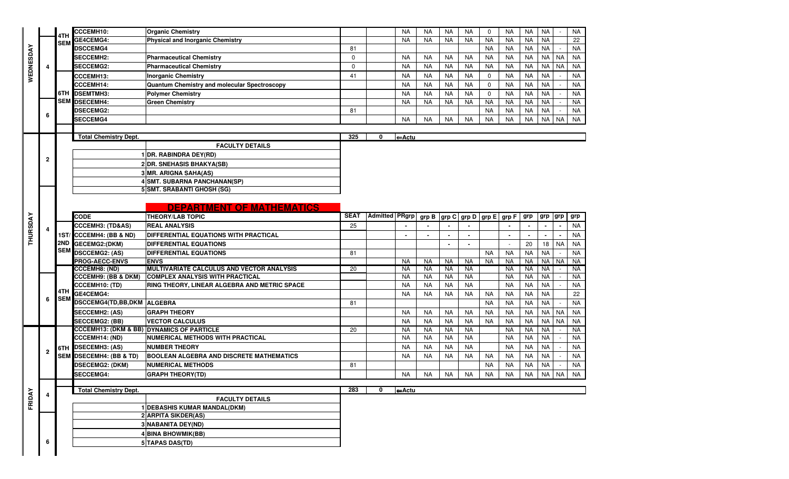|                 |              | 4TH        | CCCEMH10:                      | <b>Organic Chemistry</b>                             |             |                | <b>NA</b>         | <b>NA</b>      | <b>NA</b>      | <b>NA</b> | $\mathbf 0$           | <b>NA</b>      | <b>NA</b> | <b>NA</b> |           | <b>NA</b> |
|-----------------|--------------|------------|--------------------------------|------------------------------------------------------|-------------|----------------|-------------------|----------------|----------------|-----------|-----------------------|----------------|-----------|-----------|-----------|-----------|
|                 |              | <b>SEM</b> | GE4CEMG4:                      | <b>Physical and Inorganic Chemistry</b>              |             |                | <b>NA</b>         | <b>NA</b>      | <b>NA</b>      | <b>NA</b> | <b>NA</b>             | <b>NA</b>      | <b>NA</b> | <b>NA</b> |           | 22        |
|                 |              |            | <b>DSCCEMG4</b>                |                                                      | 81          |                |                   |                |                |           | <b>NA</b>             | <b>NA</b>      | <b>NA</b> | <b>NA</b> |           | <b>NA</b> |
|                 |              |            | <b>SECCEMH2:</b>               | <b>Pharmaceutical Chemistry</b>                      | $\mathbf 0$ |                | <b>NA</b>         | <b>NA</b>      | <b>NA</b>      | <b>NA</b> | <b>NA</b>             | <b>NA</b>      | <b>NA</b> | <b>NA</b> | <b>NA</b> | NA        |
| WEDNESDA        | 4            |            | <b>SECCEMG2:</b>               | <b>Pharmaceutical Chemistry</b>                      | $\mathbf 0$ |                | <b>NA</b>         | <b>NA</b>      | <b>NA</b>      | <b>NA</b> | <b>NA</b>             | <b>NA</b>      | <b>NA</b> | <b>NA</b> | <b>NA</b> | <b>NA</b> |
|                 |              |            | <b>CCCEMH13:</b>               | <b>Inorganic Chemistry</b>                           | 41          |                | <b>NA</b>         | <b>NA</b>      | <b>NA</b>      | <b>NA</b> | $\mathbf 0$           | <b>NA</b>      | <b>NA</b> | <b>NA</b> |           | <b>NA</b> |
|                 |              |            | <b>CCCEMH14:</b>               | Quantum Chemistry and molecular Spectroscopy         |             |                | <b>NA</b>         | <b>NA</b>      | <b>NA</b>      | <b>NA</b> | $\mathbf 0$           | <b>NA</b>      | <b>NA</b> | <b>NA</b> |           | <b>NA</b> |
|                 |              |            | 6TH DSEMTMH3:                  | <b>Polymer Chemistry</b>                             |             |                | <b>NA</b>         | <b>NA</b>      | <b>NA</b>      | <b>NA</b> | $\mathbf 0$           | <b>NA</b>      | <b>NA</b> | <b>NA</b> |           | <b>NA</b> |
|                 |              |            | SEM DSECEMH4:                  | <b>Green Chemistry</b>                               |             |                | <b>NA</b>         | <b>NA</b>      | NA             | <b>NA</b> | <b>NA</b>             | <b>NA</b>      | <b>NA</b> | <b>NA</b> |           | <b>NA</b> |
|                 |              |            | <b>DSECEMG2:</b>               |                                                      | 81          |                |                   |                |                |           | <b>NA</b>             | <b>NA</b>      | <b>NA</b> | <b>NA</b> |           | <b>NA</b> |
|                 | 6            |            | <b>SECCEMG4</b>                |                                                      |             |                | <b>NA</b>         | <b>NA</b>      | NA             | <b>NA</b> | <b>NA</b>             | <b>NA</b>      | <b>NA</b> | <b>NA</b> | <b>NA</b> | <b>NA</b> |
|                 |              |            |                                |                                                      |             |                |                   |                |                |           |                       |                |           |           |           |           |
|                 |              |            | <b>Total Chemistry Dept.</b>   |                                                      | 325         | 0              | ←Actu             |                |                |           |                       |                |           |           |           |           |
|                 |              |            |                                | <b>FACULTY DETAILS</b>                               |             |                |                   |                |                |           |                       |                |           |           |           |           |
|                 |              |            |                                | 1 DR. RABINDRA DEY(RD)                               |             |                |                   |                |                |           |                       |                |           |           |           |           |
|                 | $\mathbf{2}$ |            |                                | 2 DR. SNEHASIS BHAKYA(SB)                            |             |                |                   |                |                |           |                       |                |           |           |           |           |
|                 |              |            |                                | 3 MR. ARIGNA SAHA(AS)                                |             |                |                   |                |                |           |                       |                |           |           |           |           |
|                 |              |            |                                | 4 SMT. SUBARNA PANCHANAN(SP)                         |             |                |                   |                |                |           |                       |                |           |           |           |           |
|                 |              |            |                                | 5 SMT. SRABANTI GHOSH (SG)                           |             |                |                   |                |                |           |                       |                |           |           |           |           |
|                 |              |            |                                |                                                      |             |                |                   |                |                |           |                       |                |           |           |           |           |
|                 |              |            |                                | <b>DEPARTMENT OF MATHEMATICS</b>                     |             |                |                   |                |                |           |                       |                |           |           |           |           |
|                 |              |            | <b>CODE</b>                    | <b>THEORY/LAB TOPIC</b>                              | <b>SEAT</b> | Admitted PRgrp |                   | $_{\rm grp}$ B | grp C          |           | grp D   grp E   grp F |                | grp       | grp grp   |           | grp       |
| <b>THURSDAY</b> |              |            | <b>CCCEMH3: (TD&amp;AS)</b>    | <b>REAL ANALYSIS</b>                                 | 25          |                |                   |                |                |           |                       |                |           |           |           | <b>NA</b> |
|                 |              |            | 1ST/ CCCEMH4: (BB & ND)        | DIFFERENTIAL EQUATIONS WITH PRACTICAL                |             |                | $\blacksquare$    |                | $\blacksquare$ |           |                       | $\blacksquare$ | $\sim$    |           |           | <b>NA</b> |
|                 |              |            | 2ND GECEMG2:(DKM)              | <b>DIFFERENTIAL EQUATIONS</b>                        |             |                |                   |                | $\blacksquare$ |           |                       |                | 20        | 18        | <b>NA</b> | <b>NA</b> |
|                 |              |            | SEM DSCCEMG2: (AS)             | <b>DIFFERENTIAL EQUATIONS</b>                        | 81          |                |                   |                |                |           | <b>NA</b>             | <b>NA</b>      | <b>NA</b> | <b>NA</b> |           | <b>NA</b> |
|                 |              |            | <b>PROG-AECC-ENVS</b>          | <b>ENVS</b>                                          |             |                | <b>NA</b>         | <b>NA</b>      | NA             | <b>NA</b> | <b>NA</b>             | <b>NA</b>      | <b>NA</b> | <b>NA</b> | <b>NA</b> | <b>NA</b> |
|                 |              |            | <b>CCCEMH8: (ND)</b>           | MULTIVARIATE CALCULUS AND VECTOR ANALYSIS            | 20          |                | <b>NA</b>         | <b>NA</b>      | <b>NA</b>      | <b>NA</b> |                       | <b>NA</b>      | <b>NA</b> | <b>NA</b> |           | <b>NA</b> |
|                 |              |            | <b>CCCEMH9: (BB &amp; DKM)</b> | <b>COMPLEX ANALYSIS WITH PRACTICAL</b>               |             |                | <b>NA</b>         | NA             | <b>NA</b>      | <b>NA</b> |                       | <b>NA</b>      | <b>NA</b> | <b>NA</b> |           | <b>NA</b> |
|                 |              |            | <b>CCCEMH10: (TD)</b>          | RING THEORY, LINEAR ALGEBRA AND METRIC SPACE         |             |                | <b>NA</b>         | <b>NA</b>      | <b>NA</b>      | <b>NA</b> |                       | <b>NA</b>      | <b>NA</b> | <b>NA</b> |           | <b>NA</b> |
|                 |              | 4TH        | GE4CEMG4:                      |                                                      |             |                | <b>NA</b>         | <b>NA</b>      | <b>NA</b>      | <b>NA</b> | <b>NA</b>             | <b>NA</b>      | <b>NA</b> | <b>NA</b> |           | 22        |
|                 | 6            | <b>SEM</b> | DSCCEMG4(TD,BB,DKM ALGEBRA     |                                                      | 81          |                |                   |                |                |           | <b>NA</b>             | <b>NA</b>      | <b>NA</b> | <b>NA</b> |           | <b>NA</b> |
|                 |              |            | <b>SECCEMH2: (AS)</b>          | <b>GRAPH THEORY</b>                                  |             |                | <b>NA</b>         | <b>NA</b>      | <b>NA</b>      | <b>NA</b> | <b>NA</b>             | <b>NA</b>      | <b>NA</b> | <b>NA</b> | <b>NA</b> | <b>NA</b> |
|                 |              |            | <b>SECCEMG2: (BB)</b>          | <b>VECTOR CALCULUS</b>                               |             |                | <b>NA</b>         | <b>NA</b>      | <b>NA</b>      | <b>NA</b> | <b>NA</b>             | <b>NA</b>      | <b>NA</b> | <b>NA</b> | <b>NA</b> | <b>NA</b> |
|                 |              |            |                                | <b>CCCEMH13: (DKM &amp; BB) DYNAMICS OF PARTICLE</b> | 20          |                | <b>NA</b>         | NA             | <b>NA</b>      | <b>NA</b> |                       | <b>NA</b>      | <b>NA</b> | <b>NA</b> |           | NA        |
|                 |              |            | <b>CCCEMH14: (ND)</b>          | <b>NUMERICAL METHODS WITH PRACTICAL</b>              |             |                | <b>NA</b>         | <b>NA</b>      | <b>NA</b>      | <b>NA</b> |                       | <b>NA</b>      | <b>NA</b> | <b>NA</b> |           | <b>NA</b> |
|                 |              |            | 6TH DSECEMH3: (AS)             | <b>NUMBER THEORY</b>                                 |             |                | <b>NA</b>         | <b>NA</b>      | <b>NA</b>      | <b>NA</b> |                       | <b>NA</b>      | <b>NA</b> | <b>NA</b> |           | <b>NA</b> |
|                 | 2            |            | SEM DSECEMH4: (BB & TD)        | <b>BOOLEAN ALGEBRA AND DISCRETE MATHEMATICS</b>      |             |                | <b>NA</b>         | <b>NA</b>      | <b>NA</b>      | <b>NA</b> | <b>NA</b>             | <b>NA</b>      | <b>NA</b> | <b>NA</b> |           | <b>NA</b> |
|                 |              |            | <b>DSECEMG2: (DKM)</b>         | <b>NUMERICAL METHODS</b>                             | 81          |                |                   |                |                |           | <b>NA</b>             | <b>NA</b>      | <b>NA</b> | <b>NA</b> |           | <b>NA</b> |
|                 |              |            | <b>SECCEMG4:</b>               | <b>GRAPH THEORY(TD)</b>                              |             |                | <b>NA</b>         | NA             | <b>NA</b>      | <b>NA</b> | NA                    | <b>NA</b>      | <b>NA</b> | <b>NA</b> | <b>NA</b> | <b>NA</b> |
|                 |              |            |                                |                                                      |             |                |                   |                |                |           |                       |                |           |           |           |           |
|                 |              |            | <b>Total Chemistry Dept.</b>   |                                                      | 283         | 0              | $\leftarrow$ Actu |                |                |           |                       |                |           |           |           |           |
| FRIDAY          |              |            | <b>FACULTY DETAILS</b>         |                                                      |             |                |                   |                |                |           |                       |                |           |           |           |           |
|                 |              |            |                                | 1 DEBASHIS KUMAR MANDAL(DKM)                         |             |                |                   |                |                |           |                       |                |           |           |           |           |
|                 |              |            |                                | 2 ARPITA SIKDER(AS)                                  |             |                |                   |                |                |           |                       |                |           |           |           |           |
|                 |              |            |                                | 3 NABANITA DEY(ND)                                   |             |                |                   |                |                |           |                       |                |           |           |           |           |
|                 |              |            |                                |                                                      |             |                |                   |                |                |           |                       |                |           |           |           |           |
|                 |              |            |                                | 4 BINA BHOWMIK(BB)                                   |             |                |                   |                |                |           |                       |                |           |           |           |           |
|                 | 6            |            |                                | 5 TAPAS DAS(TD)                                      |             |                |                   |                |                |           |                       |                |           |           |           |           |